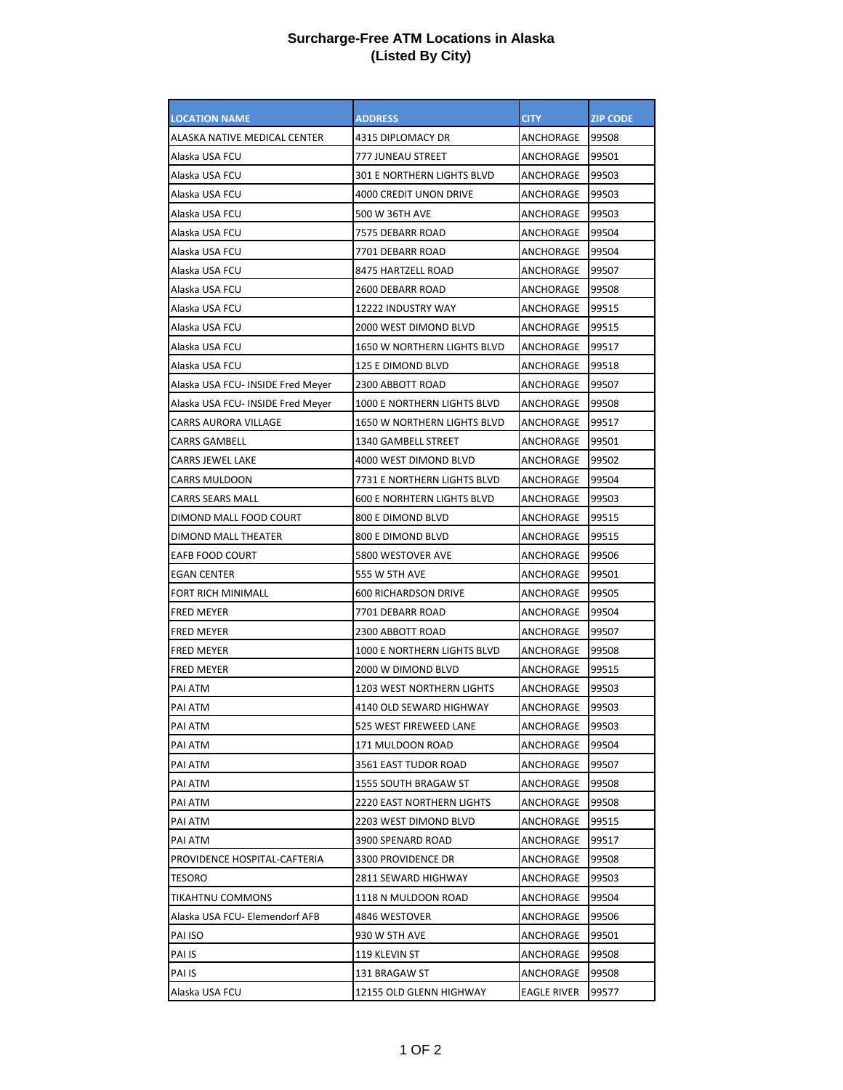## **Surcharge-Free ATM Locations in Alaska (Listed By City)**

| <b>LOCATION NAME</b>              | <b>ADDRESS</b>                    | <b>CITY</b>        | <b>ZIP CODE</b> |
|-----------------------------------|-----------------------------------|--------------------|-----------------|
| ALASKA NATIVE MEDICAL CENTER      | 4315 DIPLOMACY DR                 | ANCHORAGE          | 99508           |
| Alaska USA FCU                    | 777 JUNEAU STREET                 | ANCHORAGE          | 99501           |
| Alaska USA FCU                    | 301 E NORTHERN LIGHTS BLVD        | ANCHORAGE          | 99503           |
| Alaska USA FCU                    | <b>4000 CREDIT UNON DRIVE</b>     | ANCHORAGE          | 99503           |
| Alaska USA FCU                    | 500 W 36TH AVE                    | ANCHORAGE          | 99503           |
| Alaska USA FCU                    | 7575 DEBARR ROAD                  | ANCHORAGE          | 99504           |
| Alaska USA FCU                    | 7701 DEBARR ROAD                  | ANCHORAGE          | 99504           |
| Alaska USA FCU                    | 8475 HARTZELL ROAD                | ANCHORAGE          | 99507           |
| Alaska USA FCU                    | 2600 DEBARR ROAD                  | ANCHORAGE          | 99508           |
| Alaska USA FCU                    | 12222 INDUSTRY WAY                | ANCHORAGE          | 99515           |
| Alaska USA FCU                    | 2000 WEST DIMOND BLVD             | ANCHORAGE          | 99515           |
| Alaska USA FCU                    | 1650 W NORTHERN LIGHTS BLVD       | ANCHORAGE          | 99517           |
| Alaska USA FCU                    | 125 E DIMOND BLVD                 | ANCHORAGE          | 99518           |
| Alaska USA FCU- INSIDE Fred Meyer | 2300 ABBOTT ROAD                  | ANCHORAGE          | 99507           |
| Alaska USA FCU- INSIDE Fred Meyer | 1000 E NORTHERN LIGHTS BLVD       | ANCHORAGE          | 99508           |
| <b>CARRS AURORA VILLAGE</b>       | 1650 W NORTHERN LIGHTS BLVD       | ANCHORAGE          | 99517           |
| <b>CARRS GAMBELL</b>              | 1340 GAMBELL STREET               | ANCHORAGE          | 99501           |
| <b>CARRS JEWEL LAKE</b>           | 4000 WEST DIMOND BLVD             | ANCHORAGE          | 99502           |
| <b>CARRS MULDOON</b>              | 7731 E NORTHERN LIGHTS BLVD       | ANCHORAGE          | 99504           |
| <b>CARRS SEARS MALL</b>           | <b>600 E NORHTERN LIGHTS BLVD</b> | ANCHORAGE          | 99503           |
| DIMOND MALL FOOD COURT            | 800 E DIMOND BLVD                 | ANCHORAGE          | 99515           |
| DIMOND MALL THEATER               | 800 E DIMOND BLVD                 | ANCHORAGE          | 99515           |
| EAFB FOOD COURT                   | 5800 WESTOVER AVE                 | ANCHORAGE          | 99506           |
| <b>EGAN CENTER</b>                | 555 W 5TH AVE                     | ANCHORAGE          | 99501           |
| <b>FORT RICH MINIMALL</b>         | <b>600 RICHARDSON DRIVE</b>       | ANCHORAGE          | 99505           |
| <b>FRED MEYER</b>                 | 7701 DEBARR ROAD                  | ANCHORAGE          | 99504           |
| <b>FRED MEYER</b>                 | 2300 ABBOTT ROAD                  | ANCHORAGE          | 99507           |
| <b>FRED MEYER</b>                 | 1000 E NORTHERN LIGHTS BLVD       | ANCHORAGE          | 99508           |
| <b>FRED MEYER</b>                 | 2000 W DIMOND BLVD                | ANCHORAGE          | 99515           |
| PAI ATM                           | 1203 WEST NORTHERN LIGHTS         | ANCHORAGE          | 99503           |
| <b>PAI ATM</b>                    | 4140 OLD SEWARD HIGHWAY           | ANCHORAGE          | 99503           |
| PAI ATM                           | 525 WEST FIREWEED LANE            | ANCHORAGE          | 99503           |
| PAI ATM                           | 171 MULDOON ROAD                  | ANCHORAGE          | 99504           |
| PAI ATM                           | 3561 EAST TUDOR ROAD              | ANCHORAGE          | 99507           |
| PAI ATM                           | 1555 SOUTH BRAGAW ST              | ANCHORAGE          | 99508           |
| PAI ATM                           | <b>2220 EAST NORTHERN LIGHTS</b>  | ANCHORAGE          | 99508           |
| PAI ATM                           | 2203 WEST DIMOND BLVD             | ANCHORAGE          | 99515           |
| PAI ATM                           | 3900 SPENARD ROAD                 | ANCHORAGE          | 99517           |
| PROVIDENCE HOSPITAL-CAFTERIA      | 3300 PROVIDENCE DR                | ANCHORAGE          | 99508           |
| TESORO                            | 2811 SEWARD HIGHWAY               | ANCHORAGE          | 99503           |
| TIKAHTNU COMMONS                  | 1118 N MULDOON ROAD               | ANCHORAGE          | 99504           |
| Alaska USA FCU- Elemendorf AFB    | 4846 WESTOVER                     | ANCHORAGE          | 99506           |
| PAI ISO                           | 930 W 5TH AVE                     | ANCHORAGE          | 99501           |
| PAI IS                            | 119 KLEVIN ST                     | ANCHORAGE          | 99508           |
| PAI IS                            | 131 BRAGAW ST                     | ANCHORAGE          | 99508           |
| Alaska USA FCU                    | 12155 OLD GLENN HIGHWAY           | <b>EAGLE RIVER</b> | 99577           |